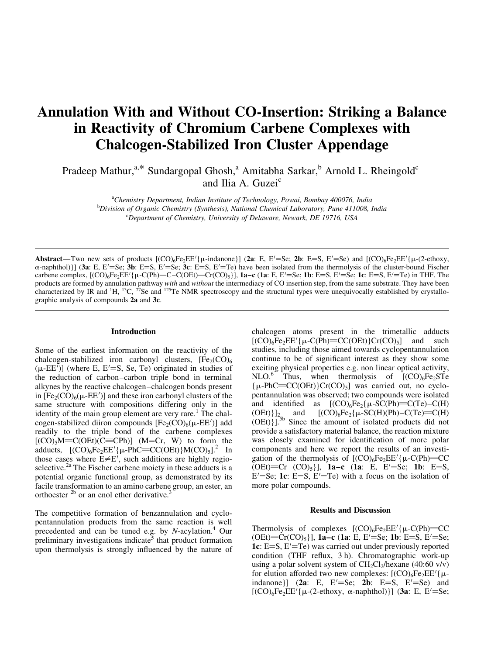# Annulation With and Without CO-Insertion: Striking a Balance in Reactivity of Chromium Carbene Complexes with Chalcogen-Stabilized Iron Cluster Appendage

Pradeep Mathur,<sup>a,\*</sup> Sundargopal Ghosh,<sup>a</sup> Amitabha Sarkar,<sup>b</sup> Arnold L. Rheingold<sup>c</sup> and Ilia A. Guzei<sup>c</sup>

<sup>a</sup>Chemistry Department, Indian Institute of Technology, Powai, Bombay 400076, India <sup>b</sup>Division of Organic Chemistry (Synthesis), National Chemical Laboratory, Pune 411008, India <sup>c</sup>Department of Chemistry, University of Delaware, Newark, DE 19716, USA

Abstract—Two new sets of products  $[(CO)_6Fe_2EE'_{\mu}$ -indanone}] (2a: E, E'=Se; 2b: E=S, E'=Se) and  $[(CO)_6Fe_2EE'_{\mu}-(2-\text{ethoxy},$  $\alpha$ -naphthol)}] (3a: E, E'=Se; 3b: E=S, E'=Se; 3c: E=S, E'=Te) have been isolated from the thermolysis of the cluster-bound Fischer carbene complex,  $[(CO)_6Fe_2EE'$  { $\mu$ -C(Ph)=C-C(OEt)=Cr(CO)<sub>5</sub>}], **1a-c** (**1a**: E, E'=Se; **1b**: E=S, E'=Se; **1c**: E=S, E'=Te) in THF. The products are formed by annulation pathway with and without the intermediacy of CO insertion step, from the same substrate. They have been characterized by IR and <sup>1</sup>H, <sup>13</sup>C, <sup>77</sup>Se and <sup>125</sup>Te NMR spectroscopy and the structural types were unequivocally established by crystallographic analysis of compounds 2a and 3c.

# Introduction

Some of the earliest information on the reactivity of the chalcogen-stabilized iron carbonyl clusters,  $[Fe<sub>2</sub>(CO)<sub>6</sub>]$  $(\mu$ -EE<sup>'</sup>)] (where E, E<sup>'</sup>=S, Se, Te) originated in studies of the reduction of carbon–carbon triple bond in terminal alkynes by the reactive chalcogen-chalcogen bonds present in  $[Fe_2(CO)_6(\mu-EE')]$  and these iron carbonyl clusters of the same structure with compositions differing only in the identity of the main group element are very rare.<sup>1</sup> The chalcogen-stabilized diiron compounds  $[Fe<sub>2</sub>(CO)<sub>6</sub>(\mu-EE')]$  add readily to the triple bond of the carbene complexes  $[(CO)_{5}M=C(OEt)(C=CPh)]$  (M=Cr, W) to form the adducts,  $[(CO)_6Fe_2EE'_{\mu}\text{-PhC}=(COEE)]M(CO)_{5}]$ .<sup>2</sup> In those cases where  $E \neq E'$ , such additions are highly regioselective.<sup>2a</sup> The Fischer carbene moiety in these adducts is a potential organic functional group, as demonstrated by its facile transformation to an amino carbene group, an ester, an orthoester  $^{2b}$  or an enol ether derivative.<sup>3</sup>

The competitive formation of benzannulation and cyclopentannulation products from the same reaction is well precedented and can be tuned e.g. by  $N$ -acylation.<sup>4</sup> Our preliminary investigations indicate<sup>5</sup> that product formation upon thermolysis is strongly influenced by the nature of chalcogen atoms present in the trimetallic adducts  $[(CO)_6Fe_2EE'$ { $\mu$ -C(Ph)=CC(OEt)}Cr(CO)<sub>5</sub>] and such studies, including those aimed towards cyclopentannulation continue to be of significant interest as they show some exciting physical properties e.g. non linear optical activity,  $NLO.<sup>6</sup>$  Thus, when thermolysis of  $[(CO)<sub>6</sub>Fe<sub>2</sub>STe]$  ${\mu-PhC}$ =CC(OEt)}Cr(CO)<sub>5</sub>] was carried out, no cyclopentannulation was observed; two compounds were isolated and identified as  $[(CO)_6Fe_2\{\mu-SC(Ph) = C(Te)-C(H)\}$  $(OEt)\]_{2}$  and  $[(CO)_6Fe_2{\mu-SC(H)(Ph)-C(Te)}=C(H)$ (OEt)}].5b Since the amount of isolated products did not provide a satisfactory material balance, the reaction mixture was closely examined for identification of more polar components and here we report the results of an investigation of the thermolysis of  $[(CO)_6Fe_2EE'_{\mu-C}(Ph)=CC$  $(\text{OE})$ =Cr  $(\text{CO})_5$ ], **1a-c** (**1a**: E, E<sup> $\prime$ </sup>=Se; **1b**: E=S,  $E' = Se$ ; **1c**:  $E = S$ ,  $E' = Te$ ) with a focus on the isolation of more polar compounds.

### Results and Discussion

Thermolysis of complexes  $[(CO)_6Fe_2EE'_{\mu-C}(Ph)=CC$ (OEt)= $Cr(CO)_5$ ], 1a-c (1a: E, E'=Se; 1b: E=S, E'=Se; 1c:  $E=S$ ,  $E'=Te$ ) was carried out under previously reported condition (THF reflux,  $3 h$ ). Chromatographic work-up using a polar solvent system of  $CH_2Cl_2/h$ exane (40:60 v/v) for elution afforded two new complexes:  $[(CO)_6Fe_2EE'$ { $\mu$ indanone}] (2a: E, E'=Se; 2b: E=S, E'=Se) and  $[(CO)_6Fe_2EE'$ { $\mu$ -(2-ethoxy,  $\alpha$ -naphthol)}] (3a: E, E'=Se;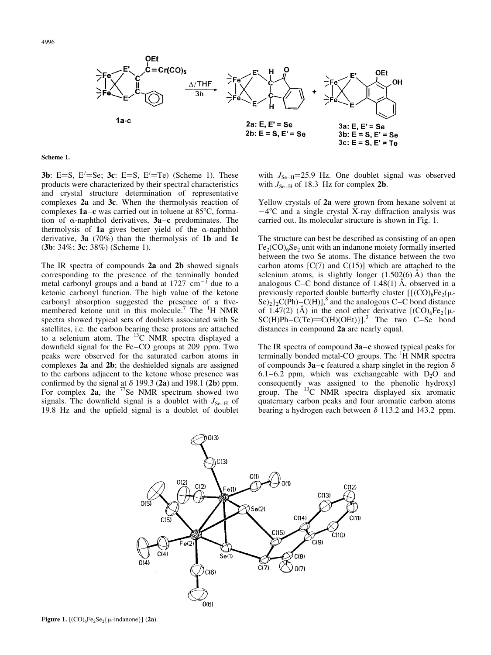

#### Scheme 1.

**3b**: E=S, E $=$ Se; **3c**: E=S, E $=$ Te) (Scheme 1). These products were characterized by their spectral characteristics and crystal structure determination of representative complexes 2a and 3c. When the thermolysis reaction of complexes  $1a-c$  was carried out in toluene at 85 $\degree$ C, formation of  $\alpha$ -naphthol derivatives, 3a $-c$  predominates. The thermolysis of 1a gives better yield of the  $\alpha$ -naphthol derivative,  $3a(70%)$  than the thermolysis of 1b and 1c (3b: 34%; 3c: 38%) (Scheme 1).

The IR spectra of compounds 2a and 2b showed signals corresponding to the presence of the terminally bonded metal carbonyl groups and a band at  $1727 \text{ cm}^{-1}$  due to a ketonic carbonyl function. The high value of the ketone carbonyl absorption suggested the presence of a fivemembered ketone unit in this molecule.<sup>7</sup> The <sup>1</sup>H NMR spectra showed typical sets of doublets associated with Se satellites, i.e. the carbon bearing these protons are attached to a selenium atom. The  $^{13}$ C NMR spectra displayed a downfield signal for the Fe-CO groups at 209 ppm. Two peaks were observed for the saturated carbon atoms in complexes 2a and 2b; the deshielded signals are assigned to the carbons adjacent to the ketone whose presence was confirmed by the signal at  $\delta$  199.3 (2a) and 198.1 (2b) ppm. For complex  $2a$ , the  $^{77}$ Se NMR spectrum showed two signals. The downfield signal is a doublet with  $J_{\text{Se-H}}$  of 19.8 Hz and the upfield signal is a doublet of doublet

with  $J_{\text{Se-H}}$ =25.9 Hz. One doublet signal was observed with  $J_{\text{Se-H}}$  of 18.3 Hz for complex 2b.

Yellow crystals of 2a were grown from hexane solvent at  $-4^{\circ}$ C and a single crystal X-ray diffraction analysis was carried out. Its molecular structure is shown in Fig. 1.

The structure can best be described as consisting of an open  $Fe<sub>2</sub>(CO)<sub>6</sub>Se<sub>2</sub>$  unit with an indanone moiety formally inserted between the two Se atoms. The distance between the two carbon atoms  $[C(7)$  and  $C(15)]$  which are attached to the selenium atoms, is slightly longer  $(1.502(6)$  Å) than the analogous C $-C$  bond distance of 1.48(1) Å, observed in a previously reported double butterfly cluster  $[{({\rm CO})_6Fe_2(\mu \text{Se}_{2}$  $\}$ <sub>2</sub>C(Ph)–C(H)],<sup>8</sup> and the analogous C–C bond distance of 1.47(2) (A) in the enol ether derivative  $[(CO)_6Fe_2\{\mu SC(H)Ph-C(Te) = C(H)(OEt)$ ].<sup>3</sup> The two C-Se bond distances in compound 2a are nearly equal.

The IR spectra of compound  $3a-c$  showed typical peaks for terminally bonded metal-CO groups. The <sup>1</sup>H NMR spectra of compounds 3a $-c$  featured a sharp singlet in the region  $\delta$ 6.1 $-6.2$  ppm, which was exchangeable with D<sub>2</sub>O and consequently was assigned to the phenolic hydroxyl group. The <sup>13</sup>C NMR spectra displayed six aromatic quaternary carbon peaks and four aromatic carbon atoms bearing a hydrogen each between  $\delta$  113.2 and 143.2 ppm.



Figure 1.  $[(CO)_6Fe_2Se_2\{\mu\text{-indanone}\}]$  (2a).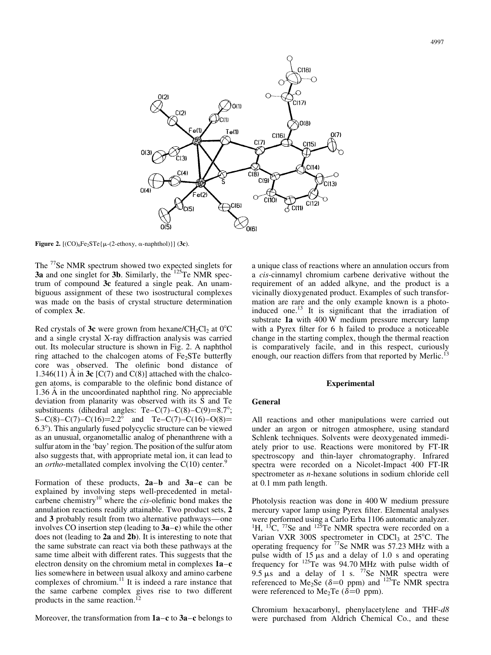

Figure 2.  $[(CO)_6Fe_2STe{\mu-(2-ethoxy, \alpha-naphthol)}]$  (3c).

The <sup>77</sup>Se NMR spectrum showed two expected singlets for 3a and one singlet for 3b. Similarly, the  $125$ Te NMR spectrum of compound 3c featured a single peak. An unambiguous assignment of these two isostructural complexes was made on the basis of crystal structure determination of complex 3c.

Red crystals of 3c were grown from hexane/CH<sub>2</sub>Cl<sub>2</sub> at  $0^{\circ}$ C and a single crystal X-ray diffraction analysis was carried out. Its molecular structure is shown in Fig. 2. A naphthol ring attached to the chalcogen atoms of  $Fe<sub>2</sub>STe$  butterfly core was observed. The olefinic bond distance of 1.346(11) Å in 3c  $[C(7)$  and  $C(8)]$  attached with the chalcogen atoms, is comparable to the olefinic bond distance of  $1.36 \text{ Å}$  in the uncoordinated naphthol ring. No appreciable deviation from planarity was observed with its S and Te substituents (dihedral angles:  $Te-C(7)-C(8)-C(9)=8.7^{\circ}$ ; S-C(8)-C(7)-C(16)=2.2° and Te-C(7)-C(16)-O(8)=  $6.3^{\circ}$ ). This angularly fused polycyclic structure can be viewed as an unusual, organometallic analog of phenanthrene with a sulfur atom in the `bay' region. The position of the sulfur atom also suggests that, with appropriate metal ion, it can lead to an *ortho*-metallated complex involving the  $C(10)$  center.<sup>9</sup>

Formation of these products,  $2a-b$  and  $3a-c$  can be explained by involving steps well-precedented in metalcarbene chemistry<sup>10</sup> where the *cis*-olefinic bond makes the annulation reactions readily attainable. Two product sets, 2 and 3 probably result from two alternative pathways—one involves CO insertion step (leading to  $3a-c$ ) while the other does not (leading to 2a and 2b). It is interesting to note that the same substrate can react via both these pathways at the same time albeit with different rates. This suggests that the electron density on the chromium metal in complexes  $1a-c$ lies somewhere in between usual alkoxy and amino carbene complexes of chromium.<sup>11</sup> It is indeed a rare instance that the same carbene complex gives rise to two different products in the same reaction.<sup>12</sup>

Moreover, the transformation from  $1a-c$  to  $3a-c$  belongs to

a unique class of reactions where an annulation occurs from a cis-cinnamyl chromium carbene derivative without the requirement of an added alkyne, and the product is a vicinally dioxygenated product. Examples of such transformation are rare and the only example known is a photoinduced one. $^{13}$  It is significant that the irradiation of substrate 1a with 400 W medium pressure mercury lamp with a Pyrex filter for 6 h failed to produce a noticeable change in the starting complex, though the thermal reaction is comparatively facile, and in this respect, curiously enough, our reaction differs from that reported by Merlic.<sup>13</sup>

## Experimental

# General

All reactions and other manipulations were carried out under an argon or nitrogen atmosphere, using standard Schlenk techniques. Solvents were deoxygenated immediately prior to use. Reactions were monitored by FT-IR spectroscopy and thin-layer chromatography. Infrared spectra were recorded on a Nicolet-Impact 400 FT-IR spectrometer as n-hexane solutions in sodium chloride cell at 0.1 mm path length.

Photolysis reaction was done in 400 W medium pressure mercury vapor lamp using Pyrex filter. Elemental analyses were performed using a Carlo Erba 1106 automatic analyzer. <sup>1</sup>H, <sup>13</sup>C, <sup>77</sup>Se and <sup>125</sup>Te NMR spectra were recorded on a Varian VXR 300S spectrometer in CDCl<sub>3</sub> at 25 $^{\circ}$ C. The operating frequency for <sup>77</sup>Se NMR was 57.23 MHz with a pulse width of  $15 \mu s$  and a delay of 1.0 s and operating frequency for <sup>125</sup>Te was 94.70 MHz with pulse width of  $9.5 \mu s$  and a delay of 1 s. <sup>77</sup>Se NMR spectra were referenced to Me<sub>2</sub>Se ( $\delta$ =0 ppm) and <sup>125</sup>Te NMR spectra were referenced to Me<sub>2</sub>Te ( $\delta$ =0 ppm).

Chromium hexacarbonyl, phenylacetylene and THF-d8 were purchased from Aldrich Chemical Co., and these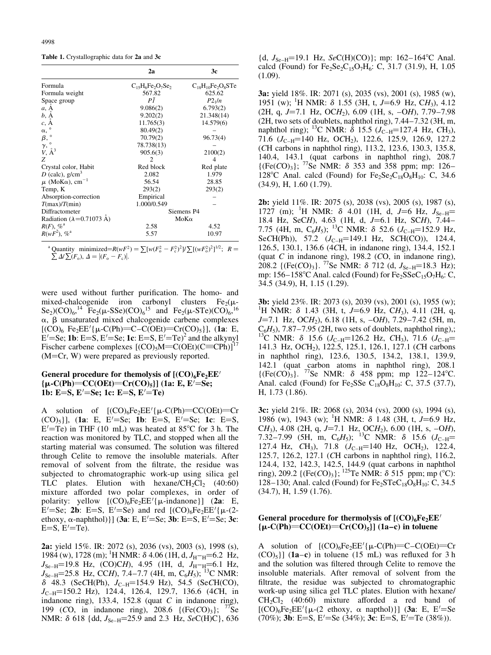Table 1. Crystallographic data for 2a and 3c

|                                                                                               | 2a                     | 3c                       |
|-----------------------------------------------------------------------------------------------|------------------------|--------------------------|
| Formula                                                                                       | $C_{15}H_6Fe_2O_7Se_2$ | $C_{18}H_{10}Fe_2O_8STe$ |
| Formula weight                                                                                | 567.82                 | 625.62                   |
| Space group                                                                                   | ΡĪ                     | $P2_1/n$                 |
| a, A                                                                                          | 9.086(2)               | 6.793(2)                 |
| b, A                                                                                          | 9.202(2)               | 21.348(14)               |
| $c, \mathring{A}$                                                                             | 11.765(3)              | 14.579(6)                |
| $\alpha,$ $^{\circ}$                                                                          | 80.49(2)               |                          |
| $\begin{array}{c} \beta, \circ \\ \gamma, \circ \\ V, \, \mathring{\mathbf{A}}^3 \end{array}$ | 70.79(2)               | 96.73(4)                 |
|                                                                                               | 78.738(13)             |                          |
|                                                                                               | 905.6(3)               | 2100(2)                  |
| Z                                                                                             | 2                      | 4                        |
| Crystal color, Habit                                                                          | Red block              | Red plate                |
| D (calc), $g/cm3$                                                                             | 2.082                  | 1.979                    |
| $\mu$ (MoK $\alpha$ ), cm <sup>-1</sup>                                                       | 56.54                  | 28.85                    |
| Temp, K                                                                                       | 293(2)                 | 293(2)                   |
| Absorption-correction                                                                         | Empirical              |                          |
| T(max)/T(min)                                                                                 | 1.000/0.549            |                          |
| Diffractometer                                                                                |                        | Siemens P4               |
| Radiation ( $\lambda$ =0.71073 Å)                                                             |                        | $M_0K_0$                 |
| $R(F)$ , % <sup>a</sup>                                                                       | 2.58                   | 4.52                     |
| $R(wF^2)$ , % <sup>a</sup>                                                                    | 5.57                   | 10.97                    |

<sup>a</sup> Quantity minimized= $R(wF^2) = \sum [w(F_0^2 - F_c^2)^2]/\sum [(wF_0^2)^2]^{1/2}$ ;  $R =$  $\sum \Delta t \sum (F_o)$ ,  $\Delta = |(F_o - F_c)|$ .

were used without further purification. The homo- and mixed-chalcogenide iron carbonyl clusters  $Fe<sub>2</sub>(\mu$ -Se<sub>2</sub>)(CO)<sub>6</sub>,<sup>14</sup> Fe<sub>2</sub>( $\mu$ -SSe)(CO)<sub>6</sub><sup>15</sup> and Fe<sub>2</sub>( $\mu$ -STe)(CO)<sub>6</sub><sup>16</sup>  $\alpha$ ,  $\beta$  unsaturated mixed chalcogenide carbene complexes  $[(CO)_6$  Fe<sub>2</sub>EE'{ $\mu$ -C(Ph)=C-C(OEt)=Cr(CO)<sub>5</sub>}], (1a: E,  $E' = Se$ ; **1b**: E=S, E'=Se; **1c**: E=S, E'=Te)<sup>2</sup> and the alkynyl Fischer carbene complexes  $[(CO)_5M=C(OEt)(C=CPh)]^{17}$  $(M=Cr, W)$  were prepared as previously reported.

# General procedure for themolysis of  $[(CO)_6Fe_2EE'$  ${\mu\text{-}C(Ph)} = CC(OEt) = Cr(CO)_5]$ ] (1a: E, E'=Se; 1b: E=S, E'=Se; 1c: E=S, E'=Te)

A solution of  $[(CO)_6Fe_2EE'_{\mu-C}(Ph)=CC(OEt)=Cr$  $(CO)_5$ ], (1a: E, E'=Se; 1b: E=S, E'=Se; 1c: E=S,  $E'$ =Te) in THF (10 mL) was heated at 85°C for 3 h. The reaction was monitored by TLC, and stopped when all the starting material was consumed. The solution was filtered through Celite to remove the insoluble materials. After removal of solvent from the filtrate, the residue was subjected to chromatographic work-up using silica gel TLC plates. Elution with hexane/ $CH_2Cl_2$  (40:60) mixture afforded two polar complexes, in order of polarity: yellow  $[(CO)_6Fe_2EE' {\mu$ -indanone}] (2a: E,  $E' = Se$ ; 2b: E=S, E'=Se) and red  $[(CO)_6Fe_2EE'$ { $\mu$ -(2ethoxy,  $\alpha$ -naphthol)}] (3a: E, E'=Se; 3b: E=S, E'=Se; 3c:  $E=S, E'=Te$ ).

2a: yield 15%. IR: 2072 (s), 2036 (vs), 2003 (s), 1998 (s), 1984 (w), 1728 (m); <sup>1</sup>H NMR:  $\delta$  4.06 (1H, d,  $J_{\text{H}^-\text{H}}$ =6.2 Hz,  $J_{\text{Se-H}}$ =19.8 Hz, (CO)CH), 4.95 (1H, d,  $J_{\text{H}^-\text{H}}$ =6.1 Hz,  $J_{\text{Se-H}}$ =25.8 Hz, CCH), 7.4–7.7 (4H, m, C<sub>6</sub>H<sub>5</sub>); <sup>13</sup>C NMR:  $\delta$  48.3 (SeCH(Ph),  $J_{C-H}$ =154.9 Hz), 54.5 (SeCH(CO),  $J_{\text{C-H}}$ =150.2 Hz), 124.4, 126.4, 129.7, 136.6 (4CH, in indanone ring), 133.4, 152.8 (quat  $C$  in indanone ring), 199 (CO, in indanone ring), 208.6  $\{ (Fe(CO)<sub>3</sub>) \}$ ; <sup>77</sup>Se NMR:  $\delta$  618 {dd,  $J_{\text{Se-H}}$ =25.9 and 2.3 Hz, SeC(H)C}, 636

{d,  $J_{\text{Se-H}}$ =19.1 Hz,  $SeC(H)(CO)$ }; mp: 162-164°C Anal. calcd (Found) for  $Fe_2Se_2C_{15}O_7H_6$ : C, 31.7 (31.9), H, 1.05  $(1.09)$ .

3a: yield 18%. IR: 2071 (s), 2035 (vs), 2001 (s), 1985 (w), 1951 (w); <sup>1</sup>H NMR:  $\delta$  1.55 (3H, t, J=6.9 Hz, CH<sub>3</sub>), 4.12  $(2H, q, J=7.1$  Hz, OCH<sub>2</sub>), 6.09 (1H, s,  $-OH$ ), 7.79-7.98 (2H, two sets of doublets, naphthol ring),  $7.44-7.32$  (3H, m, naphthol ring); <sup>13</sup>C NMR:  $\delta$  15.5 (J<sub>C-H</sub>=127.4 Hz, CH<sub>3</sub>), 71.6 ( $J_{C-H}$ =140 Hz, OCH<sub>2</sub>), 122.6, 125.9, 126.9, 127.2 (CH carbons in naphthol ring), 113.2, 123.6, 130.3, 135.8, 140.4, 143.1 (quat carbons in naphthol ring), 208.7  ${({\rm Fe}(CO)_3)}$ ; <sup>77</sup>Se NMR:  $\delta$  353 and 358 ppm; mp: 126– 128°C Anal. calcd (Found) for  $Fe<sub>2</sub>Se<sub>2</sub>C<sub>18</sub>O<sub>8</sub>H<sub>10</sub>: C, 34.6$ (34.9), H, 1.60 (1.79).

2b: yield 11%. IR: 2075 (s), 2038 (vs), 2005 (s), 1987 (s), 1727 (m); <sup>1</sup>H NMR:  $\delta$  4.01 (1H, d, J=6 Hz, J<sub>Se-H</sub>= 18.4 Hz, SeCH),  $4.63$  (1H, d, J=6.1 Hz, SCH), 7.44-7.75 (4H, m,  $C_6H_5$ ); <sup>13</sup>C NMR:  $\delta$  52.6 (J<sub>C-H</sub>=152.9 Hz, SeCH(Ph)), 57.2  $(J_{C-H}=149.1 \text{ Hz}, \text{SCH(CO)}), 124.4,$ 126.5, 130.1, 136.6 (4CH, in indanone ring), 134.4, 152.1 (quat  $C$  in indanone ring), 198.2 ( $CO$ , in indanone ring), 208.2 {(Fe(CO)<sub>3</sub>}. <sup>77</sup>Se NMR:  $\delta$  712 (d,  $J_{\rm S_{\rm e-H}}$ =18.3 Hz); mp:  $156-158^{\circ}$ C Anal. calcd (Found) for Fe<sub>2</sub>SSeC<sub>15</sub>O<sub>7</sub>H<sub>6</sub>: C, 34.5 (34.9), H, 1.15 (1.29).

3b: yield 23%. IR: 2073 (s), 2039 (vs), 2001 (s), 1955 (w); <sup>1</sup> <sup>1</sup>H NMR:  $\delta$  1.43 (3H, t, J=6.9 Hz, CH<sub>3</sub>), 4.11 (2H, q,  $J=7.1$  Hz, OCH<sub>2</sub>), 6.18 (1H, s,  $-OH$ ), 7.29–7.42 (5H, m, C<sub>6</sub>H<sub>5</sub>), 7.87–7.95 (2H, two sets of doublets, naphthol ring),; <sup>13</sup>C NMR:  $\delta$  15.6 (J<sub>C-H</sub>=126.2 Hz, CH<sub>3</sub>), 71.6 (J<sub>C-H</sub>= 141.3 Hz, OCH<sub>2</sub>), 122.5, 125.1, 126.1, 127.1 (CH carbons in naphthol ring), 123.6, 130.5, 134.2, 138.1, 139.9, 142.1 (quat carbon atoms in naphthol ring), 208.1  $\{({\rm Fe}(CO)_3\}$ . <sup>77</sup>Se NMR:  $\delta$  458 ppm; mp 122-124 °C. Anal. calcd (Found) for Fe<sub>2</sub>SSe C<sub>18</sub>O<sub>8</sub>H<sub>10</sub>: C, 37.5 (37.7), H, 1.73 (1.86).

3c: yield 21%. IR: 2068 (s), 2034 (vs), 2000 (s), 1994 (s), 1986 (w), 1943 (w); <sup>1</sup>H NMR:  $\delta$  1.48 (3H, t, J=6.9 Hz, CH<sub>3</sub>), 4.08 (2H, q, J=7.1 Hz, OCH<sub>2</sub>), 6.00 (1H, s, -OH), 7.32–7.99 (5H, m, C<sub>6</sub>H<sub>5</sub>); <sup>13</sup>C NMR:  $\delta$  15.6 (J<sub>C-H</sub>= 127.4 Hz,  $CH_3$ ), 71.8  $(J_{C-H}=140 \text{ Hz}, \text{ OCH}_2)$ , 122.4, 125.7, 126.2, 127.1 (CH carbons in naphthol ring), 116.2, 124.4, 132, 142.3, 142.5, 144.9 (quat carbons in naphthol ring), 209.2 { $(Fe(CO)<sub>3</sub>$ }; <sup>125</sup>Te NMR:  $\delta$  515 ppm; mp (°C): 128–130; Anal. calcd (Found) for  $Fe<sub>2</sub>STeC<sub>18</sub>O<sub>8</sub>H<sub>10</sub>: C, 34.5$ (34.7), H, 1.59 (1.76).

## General procedure for thermolysis of  $[(CO)_6Fe_2EE'$  ${\mu\text{-}C(Ph)}=CC(OEt)=Cr(CO)_{5}$ ] (1a–c) in toluene

A solution of  $[(CO)_6Fe_2EE'(\mu-C(Ph)=C-C(OEt)=Cr$  $(CO)_{5}$ ] (1a-c) in toluene (15 mL) was refluxed for 3 h and the solution was filtered through Celite to remove the insoluble materials. After removal of solvent from the filtrate, the residue was subjected to chromatographic work-up using silica gel TLC plates. Elution with hexane/  $CH_2Cl_2$  (40:60) mixture afforded a red band of  $[(CO)_6Fe_2EE'$ { $\mu$ -(2 ethoxy,  $\alpha$  napthol)}] (3a: E, E<sup>t</sup>=Se (70%); **3b**: E=S, E'=Se (34%); **3c**: E=S, E'=Te (38%)).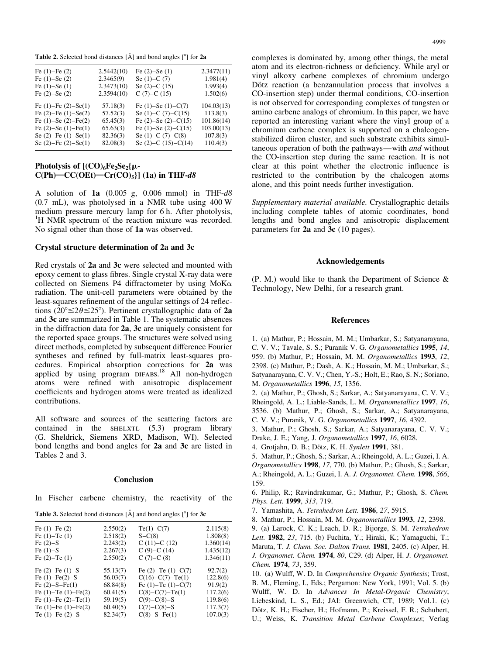**Table 2.** Selected bond distances  $[\hat{A}]$  and bond angles  $[^\circ]$  for 2a

| Fe $(1)$ –Fe $(2)$           | 2.5442(10) | Fe $(2)$ –Se $(1)$           | 2.3477(11) |
|------------------------------|------------|------------------------------|------------|
| Fe $(1)$ –Se $(2)$           | 2.3465(9)  | Se $(1)$ –C $(7)$            | 1.981(4)   |
| Fe $(1)$ –Se $(1)$           | 2.3473(10) | Se $(2)$ –C $(15)$           | 1.993(4)   |
| Fe $(2)$ –Se $(2)$           | 2.3594(10) | $C(7)-C(15)$                 | 1.502(6)   |
| Fe $(1)$ -Fe $(2)$ -Se $(1)$ | 57.18(3)   | Fe $(1)$ –Se $(1)$ –C $(7)$  | 104.03(13) |
| Fe $(2)$ -Fe $(1)$ -Se $(2)$ | 57.52(3)   | Se $(1)$ –C $(7)$ –C $(15)$  | 113.8(3)   |
| Fe $(1)$ –Se $(2)$ –Fe $(2)$ | 65.45(3)   | Fe $(2)$ –Se $(2)$ –C $(15)$ | 101.86(14) |
| Fe $(2)$ –Se $(1)$ –Fe $(1)$ | 65.63(3)   | Fe $(1)$ –Se $(2)$ –C $(15)$ | 103.00(13) |
| Se $(2)$ -Fe $(1)$ -Se $(1)$ | 82.36(3)   | Se $(1)$ –C $(7)$ –C $(8)$   | 107.8(3)   |
| Se $(2)$ -Fe $(2)$ -Se $(1)$ | 82.08(3)   | Se $(2)$ –C $(15)$ –C $(14)$ | 110.4(3)   |
|                              |            |                              |            |

# Photolysis of  $[(CO)<sub>6</sub>Fe<sub>2</sub>Se<sub>2</sub>{\mu C(Ph) = CC(OEt) = Cr(CO)_{5}$ ] (1a) in THF-d8

A solution of  $1a$  (0.005 g, 0.006 mmol) in THF- $d8$ (0.7 mL), was photolysed in a NMR tube using 400 W medium pressure mercury lamp for 6 h. After photolysis, <sup>1</sup>H NMR spectrum of the reaction mixture was recorded. No signal other than those of 1a was observed.

#### Crystal structure determination of 2a and 3c

Red crystals of 2a and 3c were selected and mounted with epoxy cement to glass fibres. Single crystal X-ray data were collected on Siemens P4 diffractometer by using  $M\alpha$ radiation. The unit-cell parameters were obtained by the least-squares refinement of the angular settings of 24 reflections (20°  $\leq$  2 $\theta$   $\leq$  25°). Pertinent crystallographic data of 2a and 3c are summarized in Table 1. The systematic absences in the diffraction data for 2a, 3c are uniquely consistent for the reported space groups. The structures were solved using direct methods, completed by subsequent difference Fourier syntheses and refined by full-matrix least-squares procedures. Empirical absorption corrections for 2a was applied by using program DIFABS.<sup>18</sup> All non-hydrogen atoms were refined with anisotropic displacement coefficients and hydrogen atoms were treated as idealized contributions.

All software and sources of the scattering factors are contained in the  $SHELXTL$  (5.3) program library (G. Sheldrick, Siemens XRD, Madison, WI). Selected bond lengths and bond angles for 2a and 3c are listed in Tables 2 and 3.

#### **Conclusion**

In Fischer carbene chemistry, the reactivity of the

**Table 3.** Selected bond distances  $[\hat{A}]$  and bond angles  $[°]$  for 3c

| Fe $(1)$ –Fe $(2)$           | 2.550(2) | $Te(1)-C(7)$                | 2.115(8)  |
|------------------------------|----------|-----------------------------|-----------|
| Fe $(1)$ -Te $(1)$           | 2.518(2) | $S-C(8)$                    | 1.808(8)  |
| Fe $(2)-S$                   | 2.243(2) | $C(11)-C(12)$               | 1.360(14) |
| Fe $(1)-S$                   | 2.267(3) | $C(9)-C(14)$                | 1.435(12) |
| Fe $(2)$ -Te $(1)$           | 2.550(2) | $C(7)-C(8)$                 | 1.346(11) |
| Fe $(2)$ -Fe $(1)$ -S        | 55.13(7) | Fe $(2)$ -Te $(1)$ -C $(7)$ | 92.7(2)   |
| Fe $(1)$ -Fe $(2)$ -S        | 56.03(7) | $C(16)-C(7)-Te(1)$          | 122.8(6)  |
| Fe $(2)-S-Fe(1)$             | 68.84(8) | Fe $(1)$ -Te $(1)$ -C $(7)$ | 91.9(2)   |
| Fe $(1)$ -Te $(1)$ -Fe $(2)$ | 60.41(5) | $C(8)-C(7)-Te(1)$           | 117.2(6)  |
| Fe $(1)$ -Fe $(2)$ -Te $(1)$ | 59.19(5) | $C(9)-C(8)-S$               | 119.8(6)  |
| Te $(1)$ -Fe $(1)$ -Fe $(2)$ | 60.40(5) | $C(7)-C(8)-S$               | 117.3(7)  |
| Te $(1)$ -Fe $(2)$ -S        | 82.34(7) | $C(8)-S-Fe(1)$              | 107.0(3)  |
|                              |          |                             |           |

complexes is dominated by, among other things, the metal atom and its electron-richness or deficiency. While aryl or vinyl alkoxy carbene complexes of chromium undergo Dötz reaction (a benzannulation process that involves a CO-insertion step) under thermal conditions, CO-insertion is not observed for corresponding complexes of tungsten or amino carbene analogs of chromium. In this paper, we have reported an interesting variant where the vinyl group of a chromium carbene complex is supported on a chalcogenstabilized diiron cluster, and such substrate exhibits simultaneous operation of both the pathways—with *and* without the CO-insertion step during the same reaction. It is not clear at this point whether the electronic influence is restricted to the contribution by the chalcogen atoms alone, and this point needs further investigation.

Supplementary material available. Crystallographic details including complete tables of atomic coordinates, bond lengths and bond angles and anisotropic displacement parameters for 2a and 3c (10 pages).

#### Acknowledgements

(P. M.) would like to thank the Department of Science & Technology, New Delhi, for a research grant.

#### References

1. (a) Mathur, P.; Hossain, M. M.; Umbarkar, S.; Satyanarayana, C. V. V.; Tavale, S. S.; Puranik V. G. Organometallics 1995, 14, 959. (b) Mathur, P.; Hossain, M. M. Organometallics 1993, 12, 2398. (c) Mathur, P.; Dash, A. K.; Hossain, M. M.; Umbarkar, S.; Satyanarayana, C. V. V.; Chen, Y.-S.; Holt, E.; Rao, S. N.; Soriano, M. Organometallics 1996, 15, 1356.

2. (a) Mathur, P.; Ghosh, S.; Sarkar, A.; Satyanarayana, C. V. V.; Rheingold, A. L.; Liable-Sands, L. M. Organometallics 1997, 16, 3536. (b) Mathur, P.; Ghosh, S.; Sarkar, A.; Satyanarayana, C. V. V.; Puranik, V. G. Organometallics 1997, 16, 4392.

3. Mathur, P.; Ghosh, S.; Sarkar, A.; Satyanarayana, C. V. V.; Drake, J. E.; Yang, J. Organometallics 1997, 16, 6028.

4. Grotjahn, D. B.; Dötz, K. H. Synlett 1991, 381.

5. Mathur, P.; Ghosh, S.; Sarkar, A.; Rheingold, A. L.; Guzei, I. A. Organometallics 1998, 17, 770. (b) Mathur, P.; Ghosh, S.; Sarkar, A.; Rheingold, A. L.; Guzei, I. A. J. Organomet. Chem. 1998, 566, 159.

6. Philip, R.; Ravindrakumar, G.; Mathur, P.; Ghosh, S. Chem. Phys. Lett. 1999, 313, 719.

7. Yamashita, A. Tetrahedron Lett. 1986, 27, 5915.

8. Mathur, P.; Hossain, M. M. Organometallics 1993, 12, 2398.

9. (a) Larock, C. K.; Leach, D. R.; Bijorge, S. M. Tetrahedron Lett. 1982, 23, 715. (b) Fuchita, Y.; Hiraki, K.; Yamaguchi, T.; Maruta, T. J. Chem. Soc. Dalton Trans. 1981, 2405. (c) Alper, H. J. Organomet. Chem. 1974, 80, C29. (d) Alper, H. J. Organomet. Chem. 1974, 73, 359.

10. (a) Wulff, W. D. In Comprehensive Organic Synthesis; Trost, B. M., Fleming, I., Eds.; Pergamon: New York, 1991; Vol. 5. (b) Wulff, W. D. In Advances In Metal-Organic Chemistry; Liebeskind, L. S., Ed.; JAI: Greenwich, CT, 1989; Vol.1. (c) Dötz, K. H.; Fischer, H.; Hofmann, P.; Kreissel, F. R.; Schubert, U.; Weiss, K. Transition Metal Carbene Complexes; Verlag